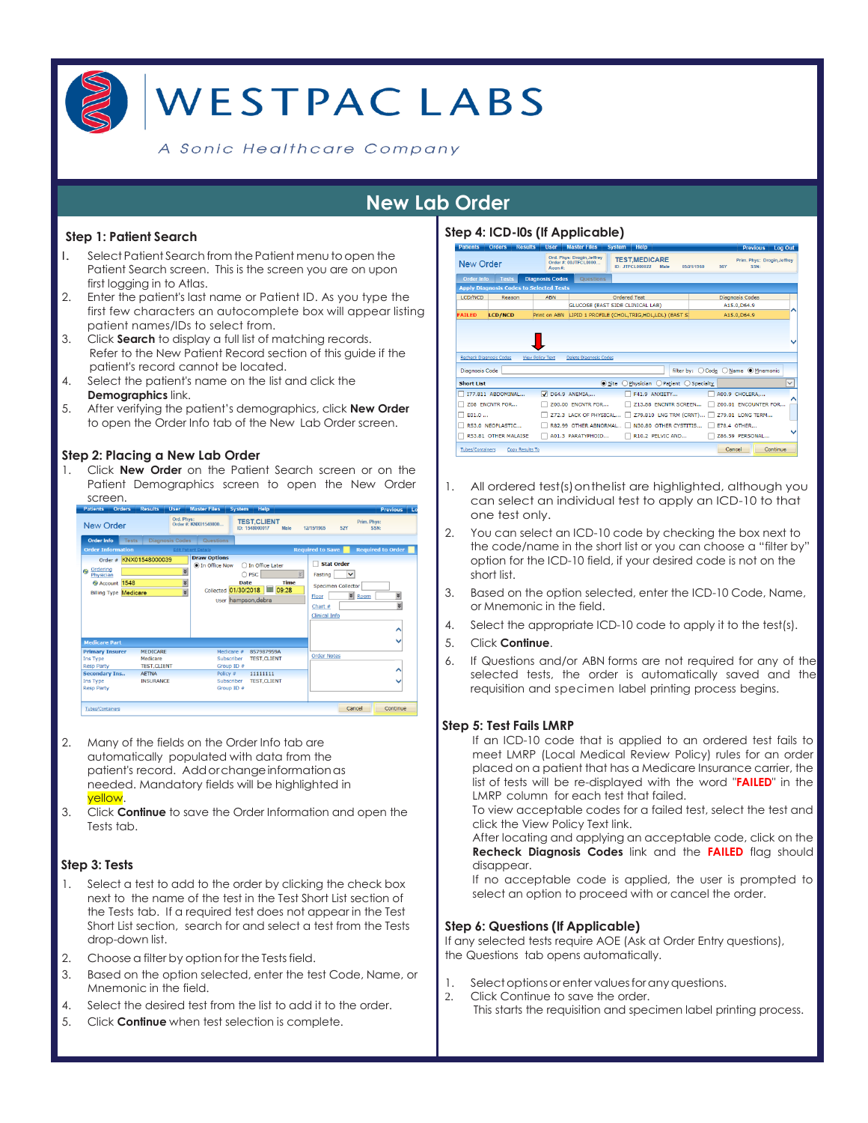

#### A Sonic Healthcare Company

# **New Lab Order**

#### **Step 1: Patient Search**

- l. Select Patient Search from thePatient menu toopen the Patient Search screen. This is the screen you are on upon first logging in to Atlas.
- 2. Enter the patient's last name or Patient ID. As you type the first few characters an autocomplete box will appear listing patient names/IDs to select from.
- 3. Click **Search** to display a full list of matching records. Refer to the New Patient Record section of this guide if the patient's record cannot be located.
- 4. Select the patient's name on the list and click the

#### **Demographics** link.

5. After verifying the patient's demographics, click **New Order**  to open the Order Info tab of the New Lab Order screen.

#### **Step 2: Placing a New Lab Order**

1. Click **New Order** on the Patient Search screen or on the Patient Demographics screen to open the New Order screen.



- 2. Many of the fields on the Order Info tab are automatically populated with data from the patient's record. Addorchangeinformationas needed. Mandatory fields will be highlighted in yellow.
- 3. Click **Continue** to save the Order Information and open the Tests tab.

#### **Step 3: Tests**

- 1. Select a test to add to the order by clicking the check box next to the name of the test in the Test Short List section of the Tests tab. If a required test does not appear in the Test Short List section, search for and select a test from the Tests drop-down list.
- 2. Choose a filter by option for the Tests field.
- 3. Based on the option selected, enter the test Code, Name, or Mnemonic in the field.
- 4. Select the desired test from the list to add it to the order.
- 5. Click **Continue** when test selection is complete.

## **Step 4: ICD-l0s (If Applicable)**

| <b>Patients</b>                                         | <b>Orders</b>        | <b>Results</b> | <b>User</b>             | <b>Master Files</b>                                       |              |              | <b>Help</b>                             |      |            |                       |                                     |                        | <b>Previous</b> | <b>Log Out</b>              |              |
|---------------------------------------------------------|----------------------|----------------|-------------------------|-----------------------------------------------------------|--------------|--------------|-----------------------------------------|------|------------|-----------------------|-------------------------------------|------------------------|-----------------|-----------------------------|--------------|
| <b>New Order</b>                                        |                      |                | Acco #                  | Ord. Phys: Drogin, Jeffrey<br>Order #: 00JTFCL0000        |              |              | <b>TEST.MEDICARE</b><br>ID: JTECL000022 | Male | 05/21/1960 |                       | <b>56Y</b>                          |                        | SSN-            | Prim. Phys: Drogin, Jeffrey |              |
| <b>Order Info</b>                                       | <b>Tests</b>         |                | <b>Diagnosis Codes</b>  | <b>Questions</b>                                          |              |              |                                         |      |            |                       |                                     |                        |                 |                             |              |
| <b>Apply Diagnosis Codes to Selected Tests</b>          |                      |                |                         |                                                           |              |              |                                         |      |            |                       |                                     |                        |                 |                             |              |
| <b>LCD/NCD</b>                                          | Reason               |                | <b>ABN</b>              |                                                           |              | Ordered Test |                                         |      |            |                       |                                     | <b>Diagnosis Codes</b> |                 |                             |              |
|                                                         |                      |                |                         | <b>GLUCOSE (EAST SIDE CLINICAL LAB)</b>                   |              |              |                                         |      |            |                       |                                     | A15.0.D64.9            |                 |                             |              |
| <b>FAILED</b>                                           | <b>LCD/NCD</b>       |                |                         | Print on ABN LIPID 1 PROFILE (CHOL.TRIG.HDL.LDL) (EAST S) |              |              |                                         |      |            |                       |                                     | A15.0, D64.9           |                 |                             |              |
|                                                         |                      |                |                         |                                                           |              |              |                                         |      |            |                       |                                     |                        |                 |                             |              |
|                                                         |                      |                | <b>View Policy Text</b> | <b>Delete Diagnosis Codes</b>                             |              |              |                                         |      |            |                       | filter by: O Code O Name O Mnemonic |                        |                 |                             |              |
|                                                         |                      |                |                         |                                                           | $\odot$ Site |              | Physician                               |      |            | ○ Patient ○ Specialty |                                     |                        |                 |                             |              |
|                                                         | I77.811 ABDOMINAL    |                | ⊽                       | D64.9 ANEMIA                                              |              |              | F41.9 ANXIETY                           |      |            |                       |                                     | A00.9 CHOLERA          |                 |                             |              |
|                                                         | Z08 ENCNTR FOR       |                |                         | Z00.00 ENCNTR FOR                                         |              |              | Z13.88 ENCNTR SCREEN                    |      |            |                       |                                     |                        |                 | Z00.01 ENCOUNTER FOR        |              |
| E01.0                                                   |                      |                |                         | <b>Z72.3 LACK OF PHYSICAL</b>                             |              |              | Z79.810 LNG TRM (CRNT)                  |      |            | $\mathbf{1}$          |                                     | Z79.01 LONG TERM       |                 |                             |              |
|                                                         | R53.0 NEOPLASTIC     |                |                         | R82.99 OTHER ABNORMAL                                     |              |              | N30.80 OTHER CYSTITIS                   |      |            |                       |                                     | E78.4 OTHER            |                 |                             |              |
| Recheck Diagnosis Codes<br>Diagnosis Code<br>Short List | R53.81 OTHER MALAISE |                |                         | A01.3 PARATYPHOID                                         |              |              | R10.2 PELVIC AND                        |      |            |                       |                                     | Z86.59 PERSONAL        |                 |                             | $\checkmark$ |

- 1. All ordered test(s)onthelist are highlighted, although you can select an individual test to apply an ICD-10 to that one test only.
- 2. You can select an ICD-10 code by checking the box next to the code/name in the short list or you can choose a "filter by" option for the ICD-10 field, if your desired code is not on the short list.
- 3. Based on the option selected, enter the ICD-10 Code, Name, or Mnemonic in the field.
- 4. Select the appropriate ICD-10 code to apply it to the test(s).
- 5. Click **Continue**.
- 6. If Questions and/or ABN forms are not required for any of the selected tests, the order is automatically saved and the requisition and specimen label printing process begins.

#### **Step 5: Test Fails LMRP**

If an ICD-10 code that is applied to an ordered test fails to meet LMRP (Local Medical Review Policy) rules for an order placed on a patient that has a Medicare Insurance carrier, the list of tests will be re-displayed with the word "**FAILED**" in the LMRP column for each test that failed.

To view acceptable codes for a failed test, select the test and click the View Policy Text link.

After locating and applying an acceptable code, click on the **Recheck Diagnosis Codes** link and the **FAILED** flag should disappear.

If no acceptable code is applied, the user is prompted to select an option to proceed with or cancel the order.

#### **Step 6: Questions (If Applicable)**

If any selected tests require AOE (Ask at Order Entry questions), the Questions tab opens automatically.

- 1. Select options or enter values for any questions.
- 2. Click Continue to save the order. This starts the requisition and specimen label printing process.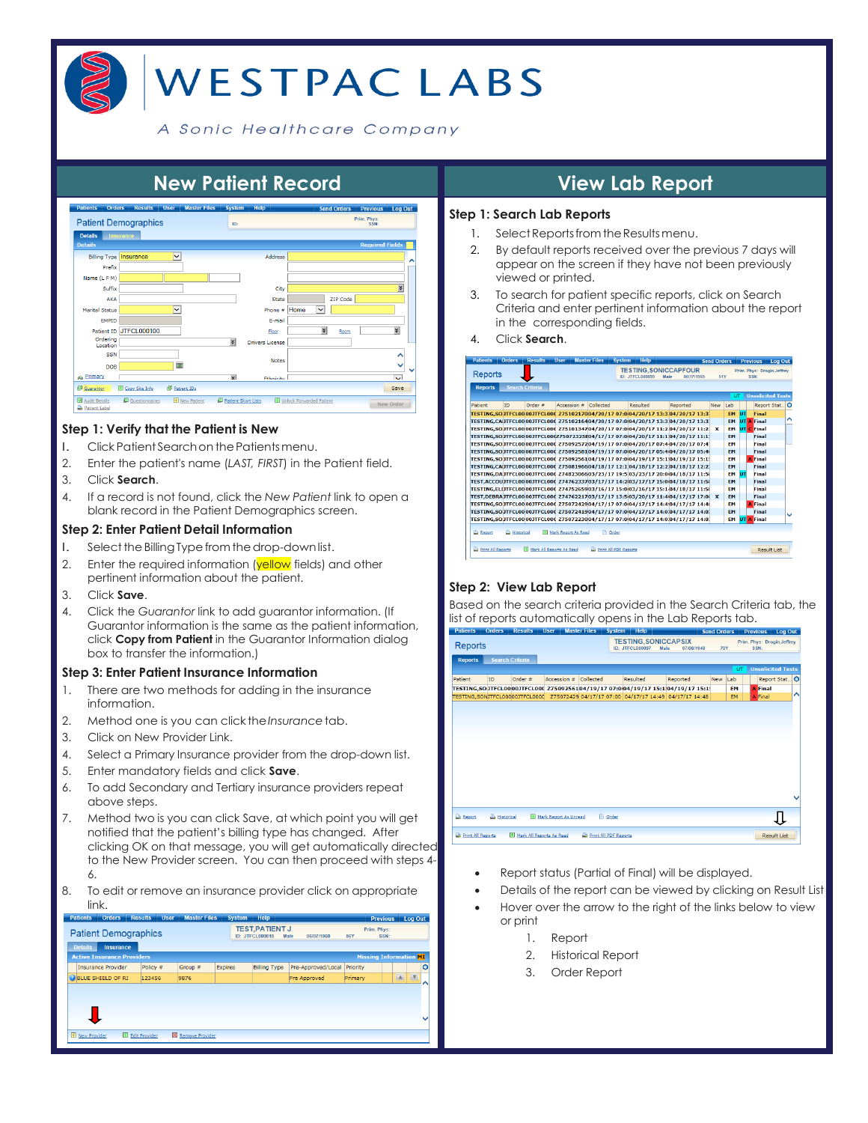

# **WESTPACLABS**

A Sonic Healthcare Company



#### **Step 1: Verify that the Patient is New**

- l. ClickPatient Searchon thePatientsmenu.
- 2. Enter the patient's name (*LAST, FIRST*) in the Patient field.
- 3. Click **Search**.
- 4. If a record is not found, click the *New Patient* link to open a blank record in the Patient Demographics screen.

#### **Step 2: Enter Patient Detail Information**

- I. Select the Billing Type from the drop-down list.
- 2. Enter the required information (yellow fields) and other pertinent information about the patient.
- 3. Click **Save**.
- 4. Click the *Guarantor* link to add guarantor information. (If Guarantor information is the same as the patient information, click **Copy from Patient** in the Guarantor Information dialog box to transfer the information.)

#### **Step 3: Enter Patient Insurance Information**

- 1. There are two methods for adding in the insurance information.
- 2. Method one is you can click the*Insurance*tab.
- 3. Click on New Provider Link.
- 4. Select a Primary Insurance provider from the drop-down list.
- 5. Enter mandatory fields and click **Save**.
- 6. To add Secondary and Tertiary insurance providers repeat above steps.
- 7. Method two is you can click Save, at which point you will get notified that the patient's billing type has changed. After clicking OK on that message, you will get automatically directed to the New Provider screen. You can then proceed with steps 4- 6.
- 8. To edit or remove an insurance provider click on appropriate link.

| Pauents<br><b>URGIS</b>            | results<br><b>USHI</b> | <b>Master Files</b>      | эүынш   | neip.                                            |                    |            | <b>Previous</b>               | <b>Log Out</b>        |              |
|------------------------------------|------------------------|--------------------------|---------|--------------------------------------------------|--------------------|------------|-------------------------------|-----------------------|--------------|
| <b>Patient Demographics</b>        |                        |                          |         | <b>TEST, PATIENT J</b><br><b>ID: JTFCL000018</b> | 06/07/1960<br>Male | <b>56Y</b> | Prim, Phys:<br>SSN:           |                       |              |
| <b>Details</b><br><b>Insurance</b> |                        |                          |         |                                                  |                    |            |                               |                       |              |
| <b>Active Insurance Providers</b>  |                        |                          |         |                                                  |                    |            | <b>Missing Information MT</b> |                       |              |
| <b>Insurance Provider</b>          | Policy $#$             | Group #                  | Expires | <b>Billing Type</b>                              | Pre-Approved/Local | Priority   |                               |                       | $\circ$      |
| <b>BLUE SHIELD OF RI</b>           | 123456                 | 9876                     |         |                                                  | Pre Approved       | Primary    |                               | $\Delta$<br>$\sqrt{}$ | ⌒            |
|                                    |                        |                          |         |                                                  |                    |            |                               |                       | $\checkmark$ |
| <b>E</b> New Provider              | Edit Provider          | <b>X</b> Remove Provider |         |                                                  |                    |            |                               |                       |              |
|                                    |                        |                          |         |                                                  |                    |            |                               |                       |              |

#### **Step 1: Search Lab Reports**

- 1. Select Reports from the Results menu.
- 2. By default reports received over the previous 7 days will appear on the screen if they have not been previously viewed or printed.
- 3. To search for patient specific reports, click on Search Criteria and enter pertinent information about the report in the corresponding fields.
- 4. Click **Search**.

| <b>Patients</b>   | <b>Orders</b>          | <b>Results</b>               | <b>User</b>                                                                     | <b>Master Files</b>   | <b>System</b> | <b>Help</b>     |      |                              |            | <b>Send Orders</b> |           |    | Previous Log Out                    |  |
|-------------------|------------------------|------------------------------|---------------------------------------------------------------------------------|-----------------------|---------------|-----------------|------|------------------------------|------------|--------------------|-----------|----|-------------------------------------|--|
| Reports           |                        |                              |                                                                                 |                       |               | ID: JTECL000095 | Male | <b>TESTING, SONICCAPFOUR</b> | 06/17/1965 | 51Y                |           |    | Prim, Phys: Drogin, Jeffrey<br>SSN: |  |
| <b>Reports</b>    | <b>Search Criteria</b> |                              |                                                                                 |                       |               |                 |      |                              |            |                    |           |    |                                     |  |
|                   |                        |                              |                                                                                 |                       |               |                 |      |                              |            |                    | UT.       |    | <b>Unsolicited Tests</b>            |  |
| Patient           | ID.                    | Order #                      | Accession #                                                                     | Collected             |               | Resulted        |      | Reported                     |            | <b>New</b>         | Lab       |    | Report Stat.                        |  |
|                   |                        |                              | TESTING.SO JTFCL0000JTFCL000 27510217004/20/17 07:004/20/17 13:3:04/20/17 13:3: |                       |               |                 |      |                              |            |                    | <b>EM</b> | ШT | Final                               |  |
|                   |                        |                              | TESTING,CAUTFCL0000JTFCL000 Z7510216404/20/17 07:0004/20/17 13:3:04/20/17 13:3  |                       |               |                 |      |                              |            |                    | <b>EM</b> |    | <b>UT A Final</b>                   |  |
|                   |                        |                              | TESTING.SOUTFCL0000JTFCL000 Z7510134704/20/17 07:004/20/17 11:204/20/17 11:21   |                       |               |                 |      |                              |            | $\mathbf x$        | <b>EM</b> |    | <b>UT C Final</b>                   |  |
|                   |                        |                              | TESTING.SOUTFCL0000JTFCL000275072325E04/17/17 07:004/20/17 11:1/04/20/17 11:1/  |                       |               |                 |      |                              |            |                    | <b>FM</b> |    | Final                               |  |
|                   |                        |                              | TESTING.SOUTFCL0000JTFCL000 Z7509257204/19/17 07:004/20/17 07:404/20/17 07:41   |                       |               |                 |      |                              |            |                    | <b>FM</b> |    | <b>Final</b>                        |  |
|                   |                        |                              | TESTING.SOUTFCL0000JTFCL000 Z7509258104/19/17 07:004/20/17 05:404/20/17 05:40   |                       |               |                 |      |                              |            |                    | <b>FM</b> |    | <b>Final</b>                        |  |
|                   |                        |                              | TESTING.SOUTFCL0000JTFCL000 Z7509256104/19/17 07:0004/19/17 15:1/04/19/17 15:1/ |                       |               |                 |      |                              |            |                    | <b>FM</b> |    | <b>A</b> Final                      |  |
|                   |                        |                              | TESTING,CAUTFCL0000JTFCL000 Z7508196604/18/17 12:104/18/17 12:204/18/17 12:21   |                       |               |                 |      |                              |            |                    | EM        |    | Final                               |  |
|                   |                        |                              | TESTING, DAJTFCL0000JTFCL000 27482306603/23/17 19:5:03/23/17 20:004/18/17 11:5( |                       |               |                 |      |                              |            |                    | EM        | шT | Final                               |  |
|                   |                        |                              | TEST.ACCOUDTFCL0000JTFCL000 27476233703/17/17 14:2i03/17/17 15:0i04/18/17 11:5i |                       |               |                 |      |                              |            |                    | EM        |    | Final                               |  |
|                   |                        |                              | TESTING.ELÚTFCL0000JTFCL000 Z7475265903/16/17 15:003/16/17 15:1-04/18/17 11:5(  |                       |               |                 |      |                              |            |                    | <b>EM</b> |    | Final                               |  |
|                   |                        |                              | TEST.DEBRAJTFCL0000JTFCL000 Z7476221703/17/17 13:503/20/17 11:404/17/17 17:00 X |                       |               |                 |      |                              |            |                    | <b>FM</b> |    | <b>Final</b>                        |  |
|                   |                        |                              | TESTING.SOUTFCL0000JTFCL000 Z7507242904/17/17 07:004/17/17 14:404/17/17 14:41   |                       |               |                 |      |                              |            |                    | <b>FM</b> |    | <b>A</b> Final                      |  |
|                   |                        |                              | TESTING.SOUTFCL0000JTFCL000 Z7507241904/17/17 07:0004/17/17 14:0004/17/17 14:01 |                       |               |                 |      |                              |            |                    | <b>FM</b> |    | <b>Final</b>                        |  |
|                   |                        |                              | TESTING.SOUTFCL0000JTFCL000 Z7507223004/17/17 07:0004/17/17 14:004/17/17 14:0)  |                       |               |                 |      |                              |            |                    | <b>EM</b> |    | <b>UT A Final</b>                   |  |
| <b>Report</b>     | <b>B</b> Historical    |                              | III Mark Report As Read                                                         | <b>P</b> Order        |               |                 |      |                              |            |                    |           |    |                                     |  |
| Print All Reports |                        | III Mark All Reports As Read |                                                                                 | Print All PDF Reports |               |                 |      |                              |            |                    |           |    | Result List                         |  |

#### **Step 2: View Lab Report**

Based on the search criteria provided in the Search Criteria tab, the list of reports automatically opens in the Lab Reports tab.

|                   | -------                | ----------                 |                         | ---------------       |                |                                               |      |                                                                                        | ound Orders |           | <b>FIGHOUS LOW OUL</b>              |         |
|-------------------|------------------------|----------------------------|-------------------------|-----------------------|----------------|-----------------------------------------------|------|----------------------------------------------------------------------------------------|-------------|-----------|-------------------------------------|---------|
| <b>Reports</b>    |                        |                            |                         |                       |                | <b>TESTING.SONICCAPSIX</b><br>ID: JTFCL000097 | Male | 07/06/1946                                                                             | <b>70Y</b>  |           | Prim. Phys: Drogin, Jeffrey<br>SSN: |         |
| <b>Reports</b>    | <b>Search Criteria</b> |                            |                         |                       |                |                                               |      |                                                                                        |             |           |                                     |         |
|                   |                        |                            |                         |                       |                |                                               |      |                                                                                        |             | UT        | <b>Unsolicited Tests</b>            |         |
| Patient           | ID                     | Order #                    | Accession #             | Collected             |                | Resulted                                      |      | Reported                                                                               | <b>New</b>  | Lab       | Report Stat                         | $\circ$ |
|                   |                        |                            |                         |                       |                |                                               |      | TESTING,SO TFCL00001TFCL000 Z7509256104/19/17 07:0004/19/17 15:1/04/19/17 15:1!        |             | <b>EM</b> | <b>A</b> Final                      |         |
|                   |                        |                            |                         |                       |                |                                               |      | TESTING, SONJTFCL00000JTFCL0000 Z75072429 04/17/17 07:00 04/17/17 14:49 04/17/17 14:48 |             | <b>EM</b> | A Final                             | ∧       |
|                   |                        |                            |                         |                       |                |                                               |      |                                                                                        |             |           |                                     |         |
|                   |                        |                            |                         |                       |                |                                               |      |                                                                                        |             |           |                                     |         |
|                   |                        |                            |                         |                       |                |                                               |      |                                                                                        |             |           |                                     |         |
|                   |                        |                            |                         |                       |                |                                               |      |                                                                                        |             |           |                                     |         |
|                   |                        |                            |                         |                       |                |                                               |      |                                                                                        |             |           |                                     |         |
|                   |                        |                            |                         |                       |                |                                               |      |                                                                                        |             |           |                                     |         |
|                   |                        |                            |                         |                       |                |                                               |      |                                                                                        |             |           |                                     |         |
|                   |                        |                            |                         |                       |                |                                               |      |                                                                                        |             |           |                                     |         |
|                   |                        |                            |                         |                       |                |                                               |      |                                                                                        |             |           |                                     |         |
|                   |                        |                            |                         |                       |                |                                               |      |                                                                                        |             |           |                                     | v       |
|                   |                        |                            |                         |                       |                |                                               |      |                                                                                        |             |           |                                     |         |
| <b>Report</b>     | <b>B</b> Historical    |                            | I Mark Report As Unread |                       | <b>P</b> Order |                                               |      |                                                                                        |             |           |                                     |         |
|                   |                        |                            |                         |                       |                |                                               |      |                                                                                        |             |           |                                     |         |
| Print All Reports |                        | I Mark All Reports As Read |                         | Print All PDF Reports |                |                                               |      |                                                                                        |             |           | <b>Result List</b>                  |         |

- Report status (Partial of Final) will be displayed.
- Details of the report can be viewed by clicking on Result List
- Hover over the arrow to the right of the links below to view or print
	- 1. Report
	- 2. Historical Report
	- 3. Order Report